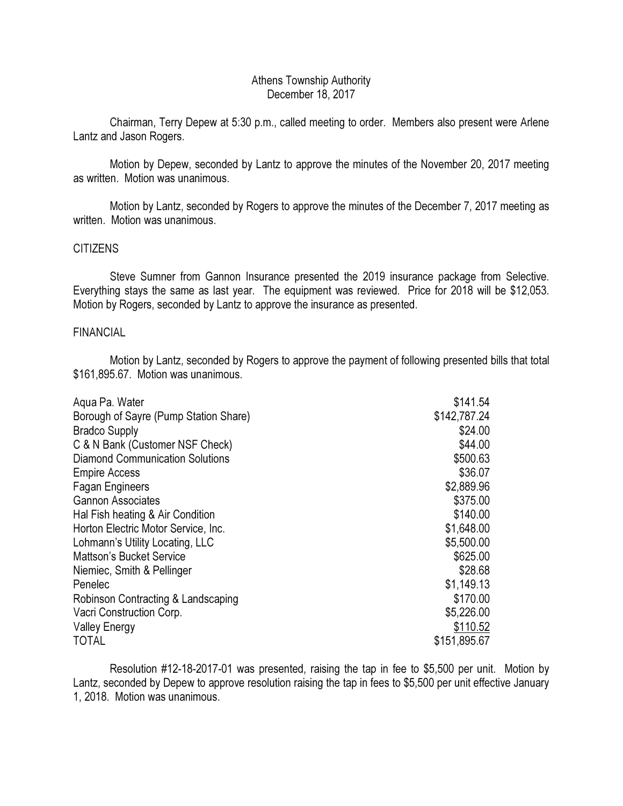# Athens Township Authority December 18, 2017

 Chairman, Terry Depew at 5:30 p.m., called meeting to order. Members also present were Arlene Lantz and Jason Rogers.

 Motion by Depew, seconded by Lantz to approve the minutes of the November 20, 2017 meeting as written. Motion was unanimous.

 Motion by Lantz, seconded by Rogers to approve the minutes of the December 7, 2017 meeting as written. Motion was unanimous.

## **CITIZENS**

 Steve Sumner from Gannon Insurance presented the 2019 insurance package from Selective. Everything stays the same as last year. The equipment was reviewed. Price for 2018 will be \$12,053. Motion by Rogers, seconded by Lantz to approve the insurance as presented.

### FINANCIAL

 Motion by Lantz, seconded by Rogers to approve the payment of following presented bills that total \$161,895.67. Motion was unanimous.

| Aqua Pa. Water                         | \$141.54     |
|----------------------------------------|--------------|
| Borough of Sayre (Pump Station Share)  | \$142,787.24 |
| <b>Bradco Supply</b>                   | \$24.00      |
| C & N Bank (Customer NSF Check)        | \$44.00      |
| <b>Diamond Communication Solutions</b> | \$500.63     |
| <b>Empire Access</b>                   | \$36.07      |
| <b>Fagan Engineers</b>                 | \$2,889.96   |
| <b>Gannon Associates</b>               | \$375.00     |
| Hal Fish heating & Air Condition       | \$140.00     |
| Horton Electric Motor Service, Inc.    | \$1,648.00   |
| Lohmann's Utility Locating, LLC        | \$5,500.00   |
| <b>Mattson's Bucket Service</b>        | \$625.00     |
| Niemiec, Smith & Pellinger             | \$28.68      |
| Penelec                                | \$1,149.13   |
| Robinson Contracting & Landscaping     | \$170.00     |
| Vacri Construction Corp.               | \$5,226.00   |
| <b>Valley Energy</b>                   | \$110.52     |
| <b>TOTAL</b>                           | \$151,895.67 |

 Resolution #12-18-2017-01 was presented, raising the tap in fee to \$5,500 per unit. Motion by Lantz, seconded by Depew to approve resolution raising the tap in fees to \$5,500 per unit effective January 1, 2018. Motion was unanimous.